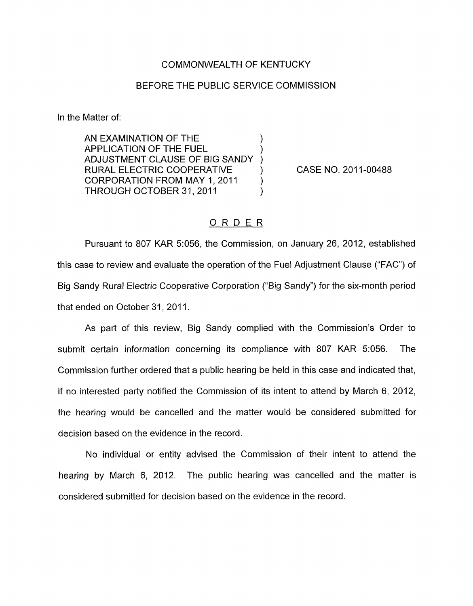## COMMONWEALTH OF KENTUCKY

## BEFORE THE PUBLIC SERVICE COMMISSION

In the Matter of:

AN EXAMINATION OF THE ) APPLICATION OF THE FUEL ) ADJUSTMENT CLAUSE OF BIG SANDY RURAL ELECTRIC COOPERATIVE CORPORATION FROM MAY 1, 2011 ) THROUGH OCTOBER 31, 2011

CASE NO. 2011-00488

## ORDER

Pursuant to 807 KAR 5:056, the Commission, on January 26, 2012, established this case to review and evaluate the operation of the Fuel Adjustment Clause ("FAC") of Big Sandy Rural Electric Cooperative Corporation ("Big Sandy") for the six-month period that ended on October 31, 2011.

As part of this review, Big Sandy complied with the Commission's Order to submit certain information concerning its compliance with 807 KAR 5:056. The Commission further ordered that a public hearing be held in this case and indicated that, if no interested party notified the Commission of its intent to attend by March 6, 2012, the hearing would be cancelled and the matter would be considered submitted for decision based on the evidence in the record.

No individual or entity advised the Commission of their intent to attend the hearing by March 6, 2012. The public hearing was cancelled and the matter is considered submitted for decision based on the evidence in the record.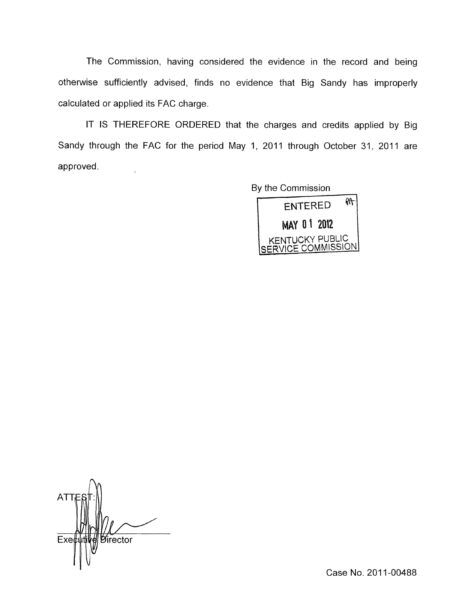The Commission, having considered the evidence in the record and being otherwise sufficiently advised, finds no evidence that Big Sandy has improperly calculated or applied its FAC charge.

IT IS THEREFORE ORDERED that the charges and credits applied by Big Sandy through the FAC for the period May 1, 2011 through October 31, 2011 are approved. l.



**ATT**  $Exeb$ *Director* 

Case **No.** 201 1-00488